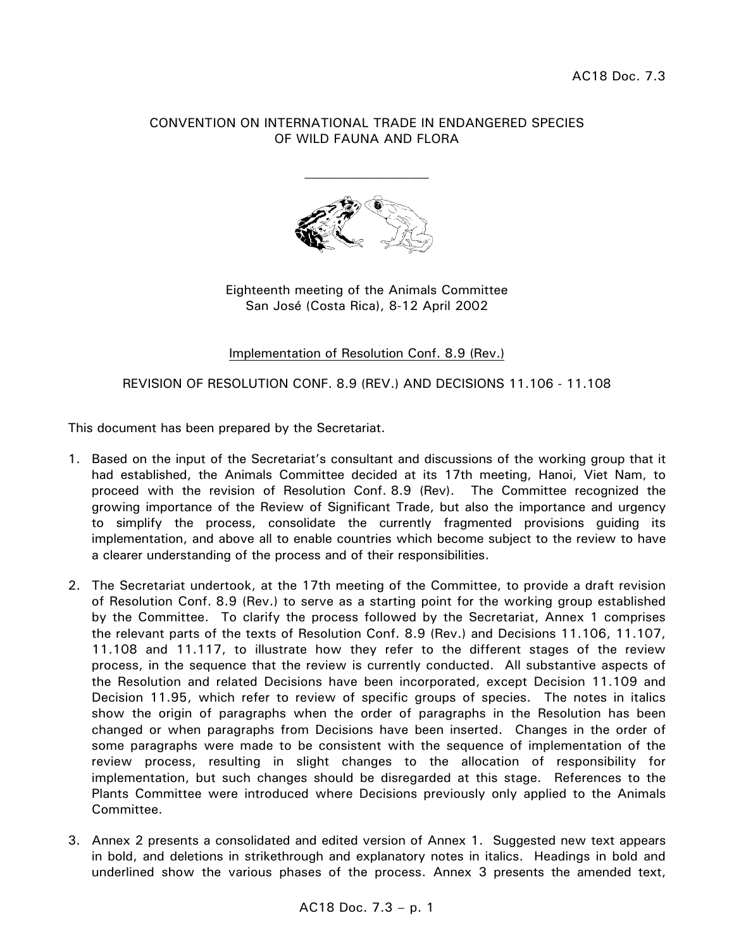## CONVENTION ON INTERNATIONAL TRADE IN ENDANGERED SPECIES OF WILD FAUNA AND FLORA



Eighteenth meeting of the Animals Committee San José (Costa Rica), 8-12 April 2002

Implementation of Resolution Conf. 8.9 (Rev.)

REVISION OF RESOLUTION CONF. 8.9 (REV.) AND DECISIONS 11.106 - 11.108

This document has been prepared by the Secretariat.

- 1. Based on the input of the Secretariat's consultant and discussions of the working group that it had established, the Animals Committee decided at its 17th meeting, Hanoi, Viet Nam, to proceed with the revision of Resolution Conf. 8.9 (Rev). The Committee recognized the growing importance of the Review of Significant Trade, but also the importance and urgency to simplify the process, consolidate the currently fragmented provisions guiding its implementation, and above all to enable countries which become subject to the review to have a clearer understanding of the process and of their responsibilities.
- 2. The Secretariat undertook, at the 17th meeting of the Committee, to provide a draft revision of Resolution Conf. 8.9 (Rev.) to serve as a starting point for the working group established by the Committee. To clarify the process followed by the Secretariat, Annex 1 comprises the relevant parts of the texts of Resolution Conf. 8.9 (Rev.) and Decisions 11.106, 11.107, 11.108 and 11.117, to illustrate how they refer to the different stages of the review process, in the sequence that the review is currently conducted. All substantive aspects of the Resolution and related Decisions have been incorporated, except Decision 11.109 and Decision 11.95, which refer to review of specific groups of species. The notes in italics show the origin of paragraphs when the order of paragraphs in the Resolution has been changed or when paragraphs from Decisions have been inserted. Changes in the order of some paragraphs were made to be consistent with the sequence of implementation of the review process, resulting in slight changes to the allocation of responsibility for implementation, but such changes should be disregarded at this stage. References to the Plants Committee were introduced where Decisions previously only applied to the Animals Committee.
- 3. Annex 2 presents a consolidated and edited version of Annex 1. Suggested new text appears in bold, and deletions in strikethrough and explanatory notes in italics. Headings in bold and underlined show the various phases of the process. Annex 3 presents the amended text,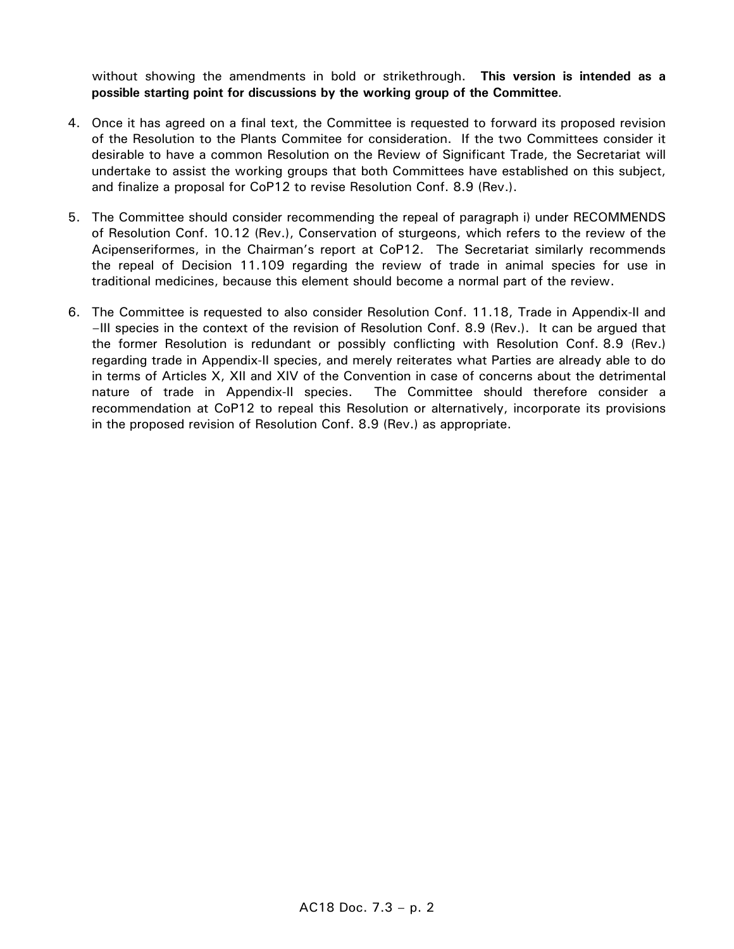without showing the amendments in bold or strikethrough. **This version is intended as a possible starting point for discussions by the working group of the Committee**.

- 4. Once it has agreed on a final text, the Committee is requested to forward its proposed revision of the Resolution to the Plants Commitee for consideration. If the two Committees consider it desirable to have a common Resolution on the Review of Significant Trade, the Secretariat will undertake to assist the working groups that both Committees have established on this subject, and finalize a proposal for CoP12 to revise Resolution Conf. 8.9 (Rev.).
- 5. The Committee should consider recommending the repeal of paragraph i) under RECOMMENDS of Resolution Conf. 10.12 (Rev.), Conservation of sturgeons, which refers to the review of the Acipenseriformes, in the Chairman's report at CoP12. The Secretariat similarly recommends the repeal of Decision 11.109 regarding the review of trade in animal species for use in traditional medicines, because this element should become a normal part of the review.
- 6. The Committee is requested to also consider Resolution Conf. 11.18, Trade in Appendix-II and –III species in the context of the revision of Resolution Conf. 8.9 (Rev.). It can be argued that the former Resolution is redundant or possibly conflicting with Resolution Conf. 8.9 (Rev.) regarding trade in Appendix-II species, and merely reiterates what Parties are already able to do in terms of Articles X, XII and XIV of the Convention in case of concerns about the detrimental nature of trade in Appendix-II species. The Committee should therefore consider a recommendation at CoP12 to repeal this Resolution or alternatively, incorporate its provisions in the proposed revision of Resolution Conf. 8.9 (Rev.) as appropriate.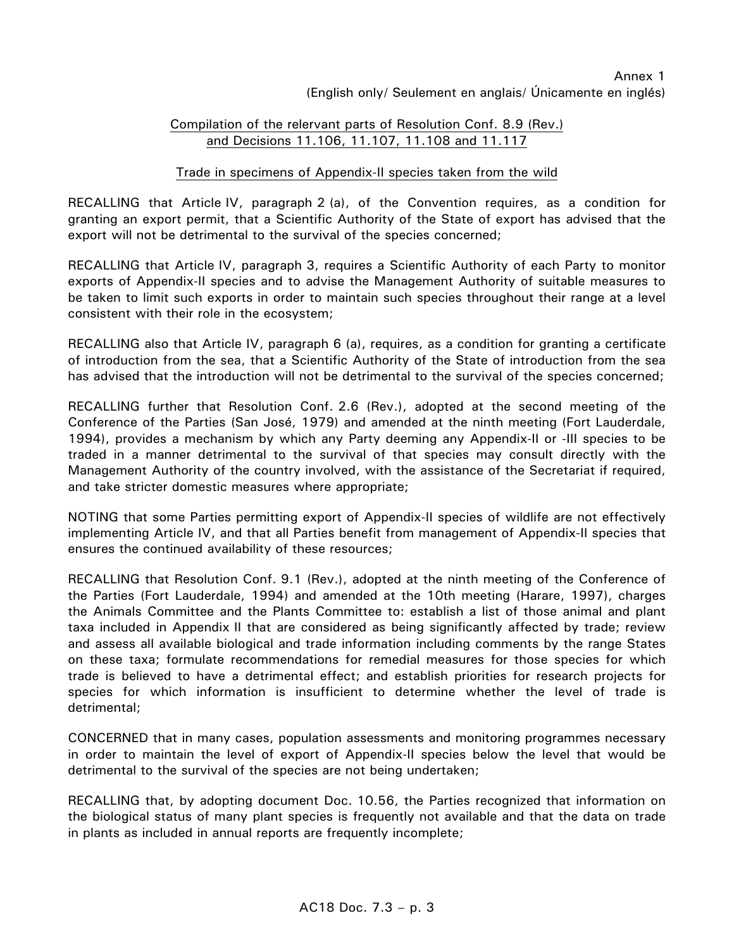# Compilation of the relervant parts of Resolution Conf. 8.9 (Rev.) and Decisions 11.106, 11.107, 11.108 and 11.117

# Trade in specimens of Appendix-II species taken from the wild

RECALLING that Article IV, paragraph 2 (a), of the Convention requires, as a condition for granting an export permit, that a Scientific Authority of the State of export has advised that the export will not be detrimental to the survival of the species concerned;

RECALLING that Article IV, paragraph 3, requires a Scientific Authority of each Party to monitor exports of Appendix-II species and to advise the Management Authority of suitable measures to be taken to limit such exports in order to maintain such species throughout their range at a level consistent with their role in the ecosystem;

RECALLING also that Article IV, paragraph 6 (a), requires, as a condition for granting a certificate of introduction from the sea, that a Scientific Authority of the State of introduction from the sea has advised that the introduction will not be detrimental to the survival of the species concerned;

RECALLING further that Resolution Conf. 2.6 (Rev.), adopted at the second meeting of the Conference of the Parties (San José, 1979) and amended at the ninth meeting (Fort Lauderdale, 1994), provides a mechanism by which any Party deeming any Appendix-II or -III species to be traded in a manner detrimental to the survival of that species may consult directly with the Management Authority of the country involved, with the assistance of the Secretariat if required, and take stricter domestic measures where appropriate;

NOTING that some Parties permitting export of Appendix-II species of wildlife are not effectively implementing Article IV, and that all Parties benefit from management of Appendix-II species that ensures the continued availability of these resources;

RECALLING that Resolution Conf. 9.1 (Rev.), adopted at the ninth meeting of the Conference of the Parties (Fort Lauderdale, 1994) and amended at the 10th meeting (Harare, 1997), charges the Animals Committee and the Plants Committee to: establish a list of those animal and plant taxa included in Appendix II that are considered as being significantly affected by trade; review and assess all available biological and trade information including comments by the range States on these taxa; formulate recommendations for remedial measures for those species for which trade is believed to have a detrimental effect; and establish priorities for research projects for species for which information is insufficient to determine whether the level of trade is detrimental;

CONCERNED that in many cases, population assessments and monitoring programmes necessary in order to maintain the level of export of Appendix-II species below the level that would be detrimental to the survival of the species are not being undertaken;

RECALLING that, by adopting document Doc. 10.56, the Parties recognized that information on the biological status of many plant species is frequently not available and that the data on trade in plants as included in annual reports are frequently incomplete;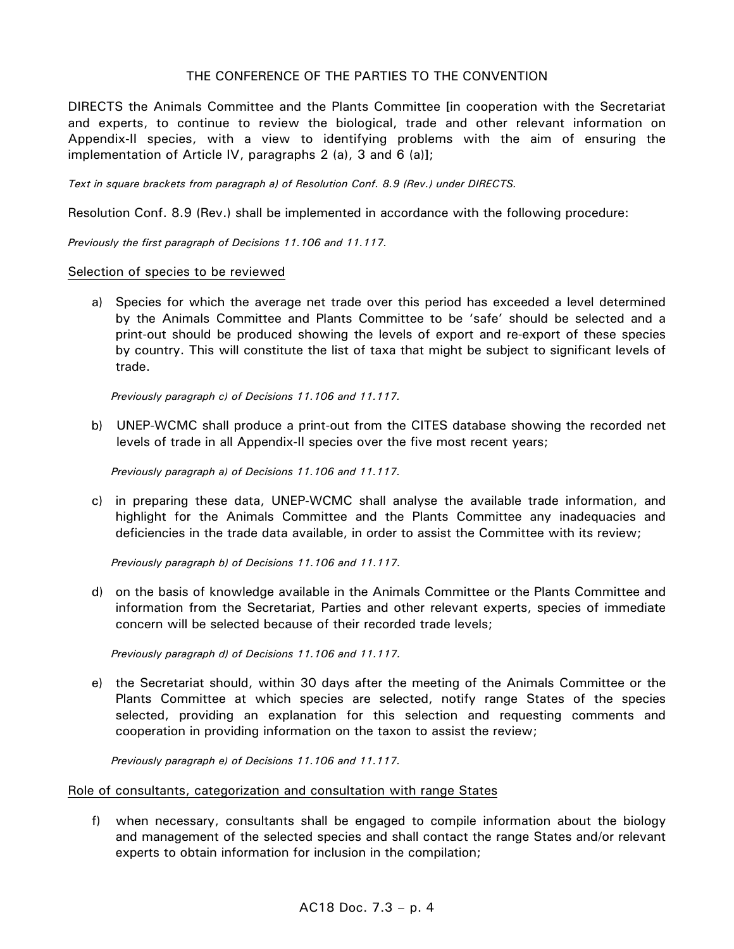### THE CONFERENCE OF THE PARTIES TO THE CONVENTION

DIRECTS the Animals Committee and the Plants Committee **[**in cooperation with the Secretariat and experts, to continue to review the biological, trade and other relevant information on Appendix-II species, with a view to identifying problems with the aim of ensuring the implementation of Article IV, paragraphs 2 (a), 3 and 6 (a)**]**;

*Text in square brackets from paragraph a) of Resolution Conf. 8.9 (Rev.) under DIRECTS.* 

Resolution Conf. 8.9 (Rev.) shall be implemented in accordance with the following procedure:

*Previously the first paragraph of Decisions 11.106 and 11.117.* 

### Selection of species to be reviewed

 a) Species for which the average net trade over this period has exceeded a level determined by the Animals Committee and Plants Committee to be 'safe' should be selected and a print-out should be produced showing the levels of export and re-export of these species by country. This will constitute the list of taxa that might be subject to significant levels of trade.

*Previously paragraph c) of Decisions 11.106 and 11.117.*

b) UNEP-WCMC shall produce a print-out from the CITES database showing the recorded net levels of trade in all Appendix-II species over the five most recent years;

*Previously paragraph a) of Decisions 11.106 and 11.117.*

 c) in preparing these data, UNEP-WCMC shall analyse the available trade information, and highlight for the Animals Committee and the Plants Committee any inadequacies and deficiencies in the trade data available, in order to assist the Committee with its review;

*Previously paragraph b) of Decisions 11.106 and 11.117.*

d) on the basis of knowledge available in the Animals Committee or the Plants Committee and information from the Secretariat, Parties and other relevant experts, species of immediate concern will be selected because of their recorded trade levels;

*Previously paragraph d) of Decisions 11.106 and 11.117.*

 e) the Secretariat should, within 30 days after the meeting of the Animals Committee or the Plants Committee at which species are selected, notify range States of the species selected, providing an explanation for this selection and requesting comments and cooperation in providing information on the taxon to assist the review;

*Previously paragraph e) of Decisions 11.106 and 11.117.* 

#### Role of consultants, categorization and consultation with range States

 f) when necessary, consultants shall be engaged to compile information about the biology and management of the selected species and shall contact the range States and/or relevant experts to obtain information for inclusion in the compilation;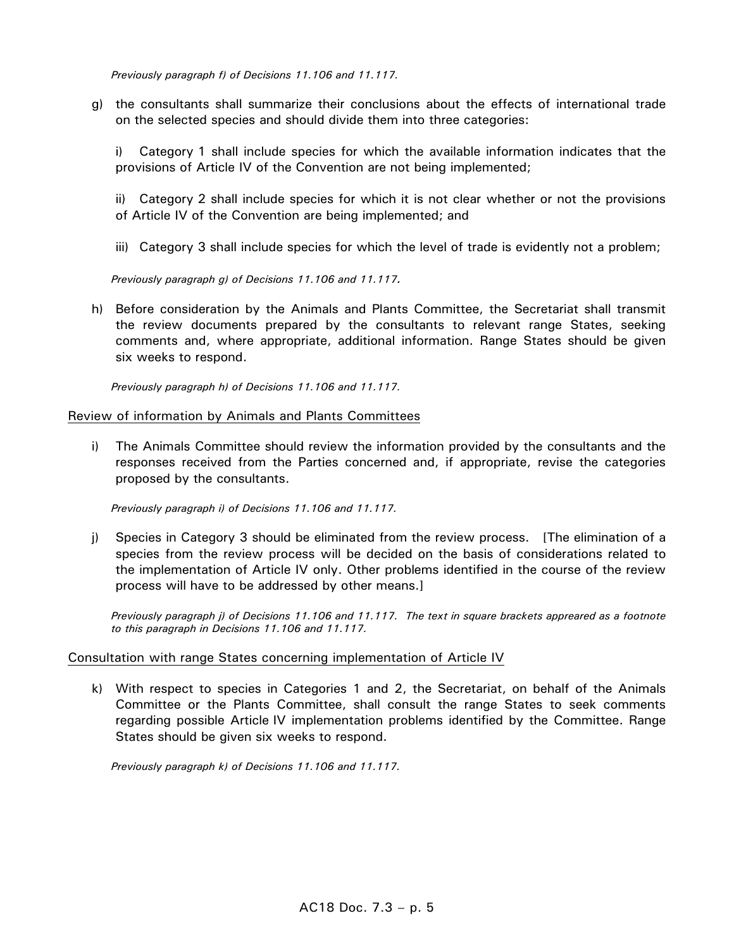*Previously paragraph f) of Decisions 11.106 and 11.117.*

 g) the consultants shall summarize their conclusions about the effects of international trade on the selected species and should divide them into three categories:

 i) Category 1 shall include species for which the available information indicates that the provisions of Article IV of the Convention are not being implemented;

 ii) Category 2 shall include species for which it is not clear whether or not the provisions of Article IV of the Convention are being implemented; and

iii) Category 3 shall include species for which the level of trade is evidently not a problem;

*Previously paragraph g) of Decisions 11.106 and 11.117.* 

 h) Before consideration by the Animals and Plants Committee, the Secretariat shall transmit the review documents prepared by the consultants to relevant range States, seeking comments and, where appropriate, additional information. Range States should be given six weeks to respond.

*Previously paragraph h) of Decisions 11.106 and 11.117.*

### Review of information by Animals and Plants Committees

 i) The Animals Committee should review the information provided by the consultants and the responses received from the Parties concerned and, if appropriate, revise the categories proposed by the consultants.

*Previously paragraph i) of Decisions 11.106 and 11.117.* 

 j) Species in Category 3 should be eliminated from the review process. [The elimination of a species from the review process will be decided on the basis of considerations related to the implementation of Article IV only. Other problems identified in the course of the review process will have to be addressed by other means.]

*Previously paragraph j) of Decisions 11.106 and 11.117. The text in square brackets appreared as a footnote to this paragraph in Decisions 11.106 and 11.117.* 

#### Consultation with range States concerning implementation of Article IV

 k) With respect to species in Categories 1 and 2, the Secretariat, on behalf of the Animals Committee or the Plants Committee, shall consult the range States to seek comments regarding possible Article IV implementation problems identified by the Committee. Range States should be given six weeks to respond.

*Previously paragraph k) of Decisions 11.106 and 11.117.*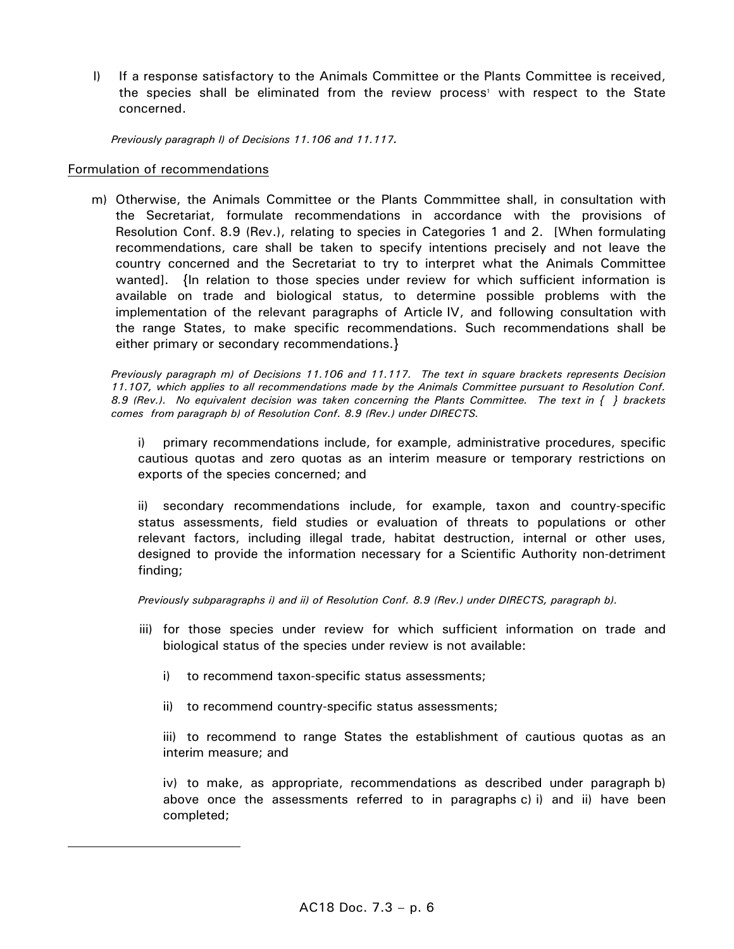l) If a response satisfactory to the Animals Committee or the Plants Committee is received, the species shall be eliminated from the review process<sup>1</sup> with respect to the State concerned.

*Previously paragraph l) of Decisions 11.106 and 11.117.* 

#### Formulation of recommendations

 $\overline{a}$ 

m) Otherwise, the Animals Committee or the Plants Commmittee shall, in consultation with the Secretariat, formulate recommendations in accordance with the provisions of Resolution Conf. 8.9 (Rev.), relating to species in Categories 1 and 2. [When formulating recommendations, care shall be taken to specify intentions precisely and not leave the country concerned and the Secretariat to try to interpret what the Animals Committee wanted]. {In relation to those species under review for which sufficient information is available on trade and biological status, to determine possible problems with the implementation of the relevant paragraphs of Article IV, and following consultation with the range States, to make specific recommendations. Such recommendations shall be either primary or secondary recommendations.}

*Previously paragraph m) of Decisions 11.106 and 11.117. The text in square brackets represents Decision 11.107, which applies to all recommendations made by the Animals Committee pursuant to Resolution Conf. 8.9 (Rev.). No equivalent decision was taken concerning the Plants Committee. The text in { } brackets comes from paragraph b) of Resolution Conf. 8.9 (Rev.) under DIRECTS.*

 i) primary recommendations include, for example, administrative procedures, specific cautious quotas and zero quotas as an interim measure or temporary restrictions on exports of the species concerned; and

 ii) secondary recommendations include, for example, taxon and country-specific status assessments, field studies or evaluation of threats to populations or other relevant factors, including illegal trade, habitat destruction, internal or other uses, designed to provide the information necessary for a Scientific Authority non-detriment finding;

*Previously subparagraphs i) and ii) of Resolution Conf. 8.9 (Rev.) under DIRECTS, paragraph b).* 

- iii) for those species under review for which sufficient information on trade and biological status of the species under review is not available:
	- i) to recommend taxon-specific status assessments;
	- ii) to recommend country-specific status assessments;

 iii) to recommend to range States the establishment of cautious quotas as an interim measure; and

 iv) to make, as appropriate, recommendations as described under paragraph b) above once the assessments referred to in paragraphs c) i) and ii) have been completed;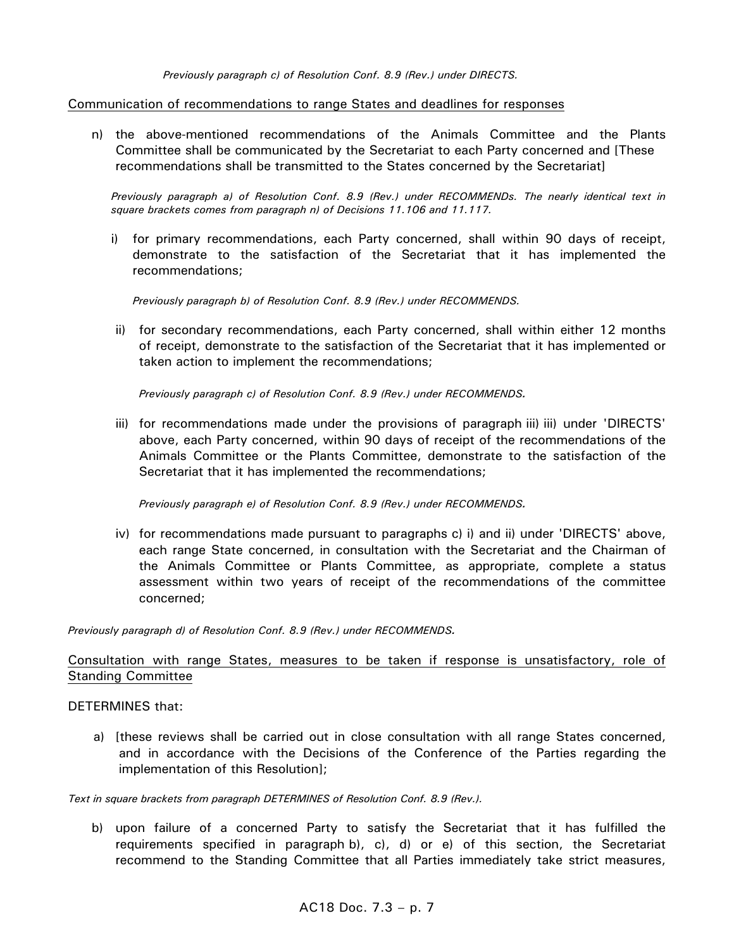*Previously paragraph c) of Resolution Conf. 8.9 (Rev.) under DIRECTS.* 

### Communication of recommendations to range States and deadlines for responses

 n) the above-mentioned recommendations of the Animals Committee and the Plants Committee shall be communicated by the Secretariat to each Party concerned and [These recommendations shall be transmitted to the States concerned by the Secretariat]

*Previously paragraph a) of Resolution Conf. 8.9 (Rev.) under RECOMMENDs. The nearly identical text in square brackets comes from paragraph n) of Decisions 11.106 and 11.117.* 

i) for primary recommendations, each Party concerned, shall within 90 days of receipt, demonstrate to the satisfaction of the Secretariat that it has implemented the recommendations;

*Previously paragraph b) of Resolution Conf. 8.9 (Rev.) under RECOMMENDS.* 

 ii) for secondary recommendations, each Party concerned, shall within either 12 months of receipt, demonstrate to the satisfaction of the Secretariat that it has implemented or taken action to implement the recommendations;

*Previously paragraph c) of Resolution Conf. 8.9 (Rev.) under RECOMMENDS.* 

 iii) for recommendations made under the provisions of paragraph iii) iii) under 'DIRECTS' above, each Party concerned, within 90 days of receipt of the recommendations of the Animals Committee or the Plants Committee, demonstrate to the satisfaction of the Secretariat that it has implemented the recommendations;

*Previously paragraph e) of Resolution Conf. 8.9 (Rev.) under RECOMMENDS.*

 iv) for recommendations made pursuant to paragraphs c) i) and ii) under 'DIRECTS' above, each range State concerned, in consultation with the Secretariat and the Chairman of the Animals Committee or Plants Committee, as appropriate, complete a status assessment within two years of receipt of the recommendations of the committee concerned;

*Previously paragraph d) of Resolution Conf. 8.9 (Rev.) under RECOMMENDS.* 

### Consultation with range States, measures to be taken if response is unsatisfactory, role of Standing Committee

### DETERMINES that:

a) [these reviews shall be carried out in close consultation with all range States concerned, and in accordance with the Decisions of the Conference of the Parties regarding the implementation of this Resolution];

*Text in square brackets from paragraph DETERMINES of Resolution Conf. 8.9 (Rev.).* 

 b) upon failure of a concerned Party to satisfy the Secretariat that it has fulfilled the requirements specified in paragraph b), c), d) or e) of this section, the Secretariat recommend to the Standing Committee that all Parties immediately take strict measures,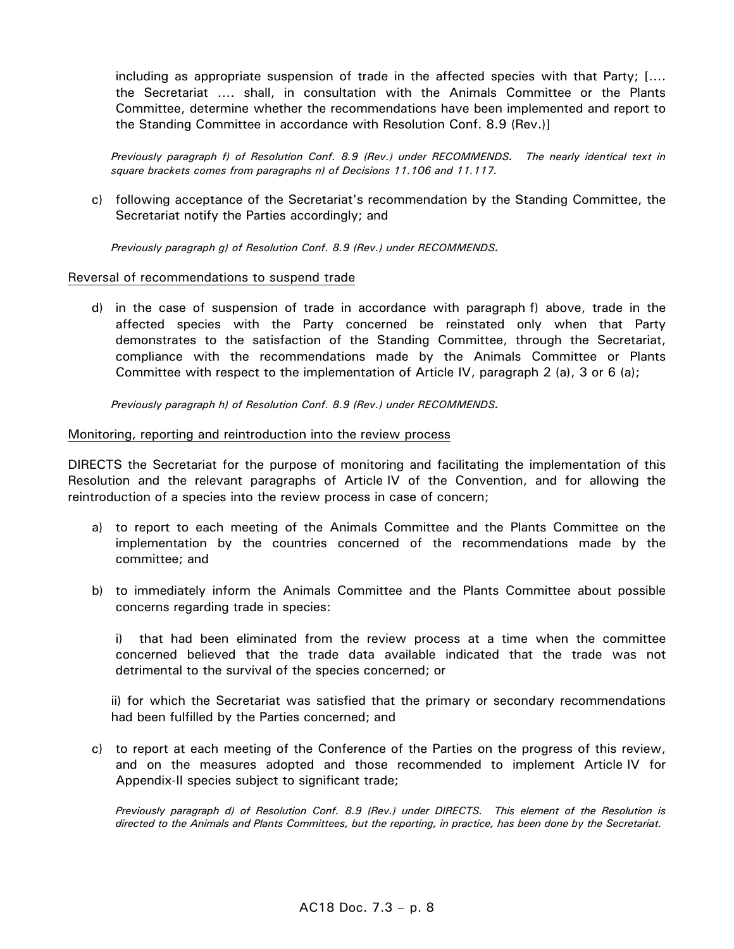including as appropriate suspension of trade in the affected species with that Party; […. the Secretariat …. shall, in consultation with the Animals Committee or the Plants Committee, determine whether the recommendations have been implemented and report to the Standing Committee in accordance with Resolution Conf. 8.9 (Rev.)]

*Previously paragraph f) of Resolution Conf. 8.9 (Rev.) under RECOMMENDS. The nearly identical text in square brackets comes from paragraphs n) of Decisions 11.106 and 11.117.*

 c) following acceptance of the Secretariat's recommendation by the Standing Committee, the Secretariat notify the Parties accordingly; and

*Previously paragraph g) of Resolution Conf. 8.9 (Rev.) under RECOMMENDS.* 

#### Reversal of recommendations to suspend trade

 d) in the case of suspension of trade in accordance with paragraph f) above, trade in the affected species with the Party concerned be reinstated only when that Party demonstrates to the satisfaction of the Standing Committee, through the Secretariat, compliance with the recommendations made by the Animals Committee or Plants Committee with respect to the implementation of Article IV, paragraph 2 (a), 3 or 6 (a);

*Previously paragraph h) of Resolution Conf. 8.9 (Rev.) under RECOMMENDS.* 

#### Monitoring, reporting and reintroduction into the review process

DIRECTS the Secretariat for the purpose of monitoring and facilitating the implementation of this Resolution and the relevant paragraphs of Article IV of the Convention, and for allowing the reintroduction of a species into the review process in case of concern;

- a) to report to each meeting of the Animals Committee and the Plants Committee on the implementation by the countries concerned of the recommendations made by the committee; and
- b) to immediately inform the Animals Committee and the Plants Committee about possible concerns regarding trade in species:

 i) that had been eliminated from the review process at a time when the committee concerned believed that the trade data available indicated that the trade was not detrimental to the survival of the species concerned; or

 ii) for which the Secretariat was satisfied that the primary or secondary recommendations had been fulfilled by the Parties concerned; and

 c) to report at each meeting of the Conference of the Parties on the progress of this review, and on the measures adopted and those recommended to implement Article IV for Appendix-II species subject to significant trade;

 *Previously paragraph d) of Resolution Conf. 8.9 (Rev.) under DIRECTS. This element of the Resolution is directed to the Animals and Plants Committees, but the reporting, in practice, has been done by the Secretariat.*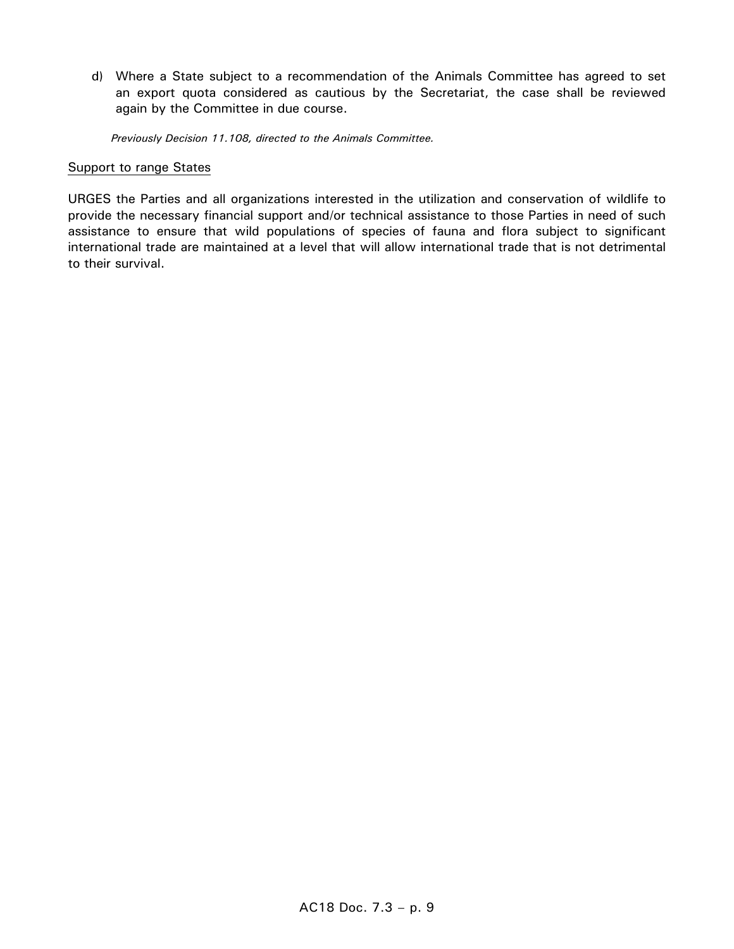d) Where a State subject to a recommendation of the Animals Committee has agreed to set an export quota considered as cautious by the Secretariat, the case shall be reviewed again by the Committee in due course.

*Previously Decision 11.108, directed to the Animals Committee.* 

### Support to range States

URGES the Parties and all organizations interested in the utilization and conservation of wildlife to provide the necessary financial support and/or technical assistance to those Parties in need of such assistance to ensure that wild populations of species of fauna and flora subject to significant international trade are maintained at a level that will allow international trade that is not detrimental to their survival.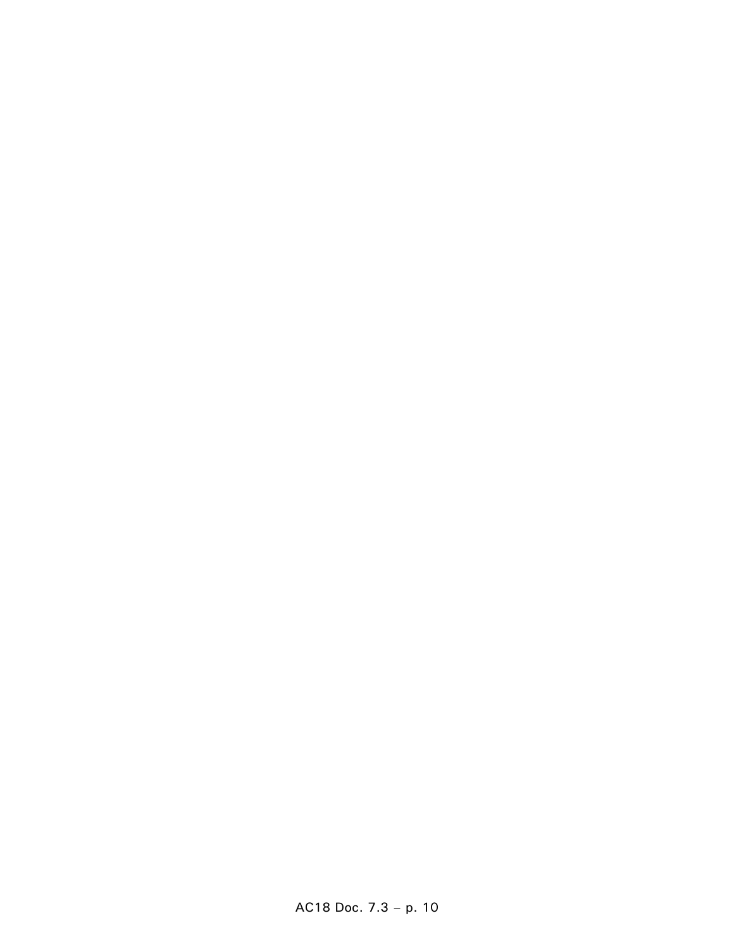AC18 Doc. 7.3 – p. 10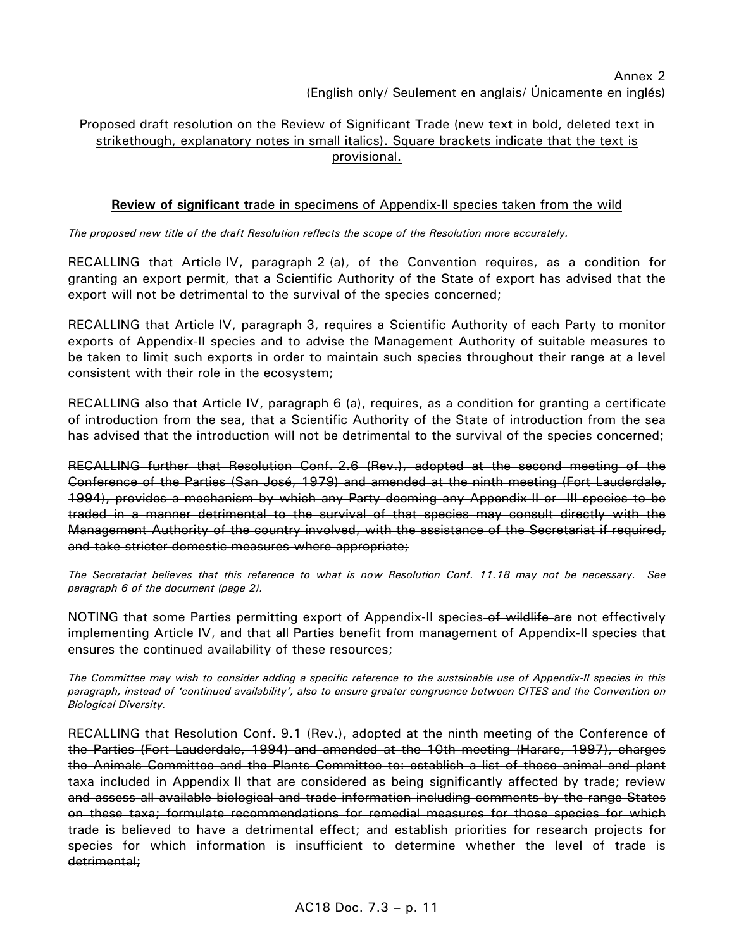# Proposed draft resolution on the Review of Significant Trade (new text in bold, deleted text in strikethough, explanatory notes in small italics). Square brackets indicate that the text is provisional.

# **Review of significant trade in specimens of Appendix-II species taken from the wild**

*The proposed new title of the draft Resolution reflects the scope of the Resolution more accurately.* 

RECALLING that Article IV, paragraph 2 (a), of the Convention requires, as a condition for granting an export permit, that a Scientific Authority of the State of export has advised that the export will not be detrimental to the survival of the species concerned;

RECALLING that Article IV, paragraph 3, requires a Scientific Authority of each Party to monitor exports of Appendix-II species and to advise the Management Authority of suitable measures to be taken to limit such exports in order to maintain such species throughout their range at a level consistent with their role in the ecosystem;

RECALLING also that Article IV, paragraph 6 (a), requires, as a condition for granting a certificate of introduction from the sea, that a Scientific Authority of the State of introduction from the sea has advised that the introduction will not be detrimental to the survival of the species concerned;

RECALLING further that Resolution Conf. 2.6 (Rev.), adopted at the second meeting of the Conference of the Parties (San José, 1979) and amended at the ninth meeting (Fort Lauderdale, 1994), provides a mechanism by which any Party deeming any Appendix-II or -III species to be traded in a manner detrimental to the survival of that species may consult directly with the Management Authority of the country involved, with the assistance of the Secretariat if required, and take stricter domestic measures where appropriate;

*The Secretariat believes that this reference to what is now Resolution Conf. 11.18 may not be necessary. See paragraph 6 of the document (page 2).*

NOTING that some Parties permitting export of Appendix-II species–of wildlife-are not effectively implementing Article IV, and that all Parties benefit from management of Appendix-II species that ensures the continued availability of these resources;

*The Committee may wish to consider adding a specific reference to the sustainable use of Appendix-II species in this paragraph, instead of 'continued availability', also to ensure greater congruence between CITES and the Convention on Biological Diversity.*

RECALLING that Resolution Conf. 9.1 (Rev.), adopted at the ninth meeting of the Conference of the Parties (Fort Lauderdale, 1994) and amended at the 10th meeting (Harare, 1997), charges the Animals Committee and the Plants Committee to: establish a list of those animal and plant taxa included in Appendix II that are considered as being significantly affected by trade; review and assess all available biological and trade information including comments by the range States on these taxa; formulate recommendations for remedial measures for those species for which trade is believed to have a detrimental effect; and establish priorities for research projects for species for which information is insufficient to determine whether the level of trade is detrimental;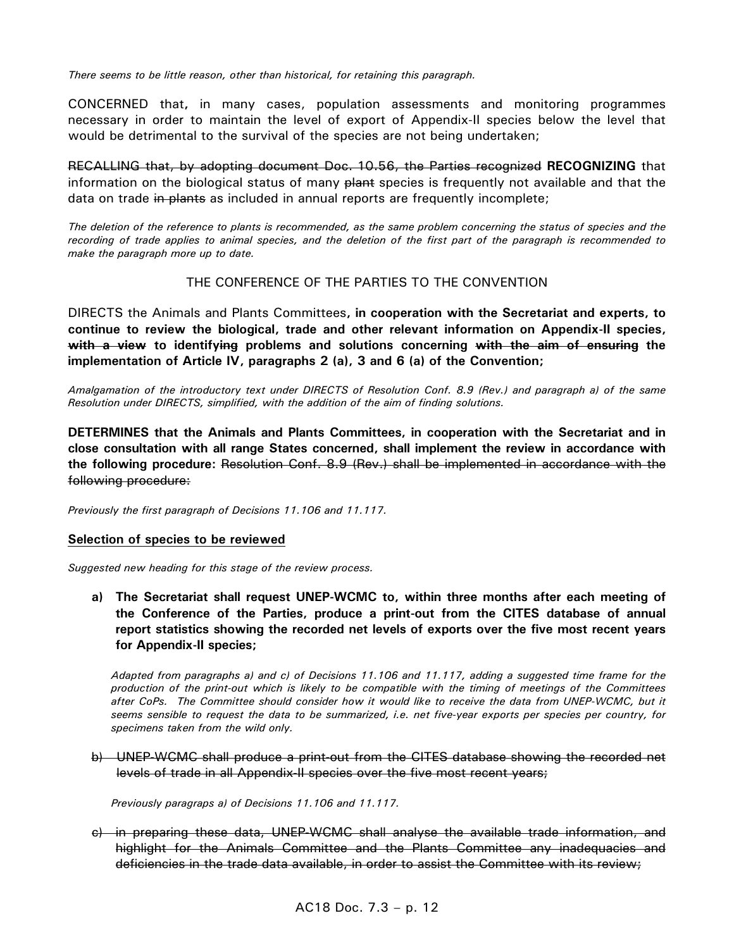*There seems to be little reason, other than historical, for retaining this paragraph.* 

CONCERNED that**,** in many cases, population assessments and monitoring programmes necessary in order to maintain the level of export of Appendix-II species below the level that would be detrimental to the survival of the species are not being undertaken;

RECALLING that, by adopting document Doc. 10.56, the Parties recognized **RECOGNIZING** that information on the biological status of many <del>plant</del> species is frequently not available and that the data on trade in plants as included in annual reports are frequently incomplete;

*The deletion of the reference to plants is recommended, as the same problem concerning the status of species and the recording of trade applies to animal species, and the deletion of the first part of the paragraph is recommended to make the paragraph more up to date.*

### THE CONFERENCE OF THE PARTIES TO THE CONVENTION

DIRECTS the Animals and Plants Committees**, in cooperation with the Secretariat and experts, to continue to review the biological, trade and other relevant information on Appendix-II species, with a view to identifying problems and solutions concerning with the aim of ensuring the implementation of Article IV, paragraphs 2 (a), 3 and 6 (a) of the Convention;**

*Amalgamation of the introductory text under DIRECTS of Resolution Conf. 8.9 (Rev.) and paragraph a) of the same Resolution under DIRECTS, simplified, with the addition of the aim of finding solutions.* 

**DETERMINES that the Animals and Plants Committees, in cooperation with the Secretariat and in close consultation with all range States concerned, shall implement the review in accordance with the following procedure:** Resolution Conf. 8.9 (Rev.) shall be implemented in accordance with the following procedure:

*Previously the first paragraph of Decisions 11.106 and 11.117.* 

### **Selection of species to be reviewed**

*Suggested new heading for this stage of the review process.* 

 **a) The Secretariat shall request UNEP-WCMC to, within three months after each meeting of the Conference of the Parties, produce a print-out from the CITES database of annual report statistics showing the recorded net levels of exports over the five most recent years for Appendix-II species;** 

*Adapted from paragraphs a) and c) of Decisions 11.106 and 11.117, adding a suggested time frame for the production of the print-out which is likely to be compatible with the timing of meetings of the Committees after CoPs. The Committee should consider how it would like to receive the data from UNEP-WCMC, but it seems sensible to request the data to be summarized, i.e. net five-year exports per species per country, for specimens taken from the wild only.* 

b) UNEP-WCMC shall produce a print-out from the CITES database showing the recorded net levels of trade in all Appendix-II species over the five most recent years;

*Previously paragraps a) of Decisions 11.106 and 11.117.*

 c) in preparing these data, UNEP-WCMC shall analyse the available trade information, and highlight for the Animals Committee and the Plants Committee any inadequacies and deficiencies in the trade data available, in order to assist the Committee with its review;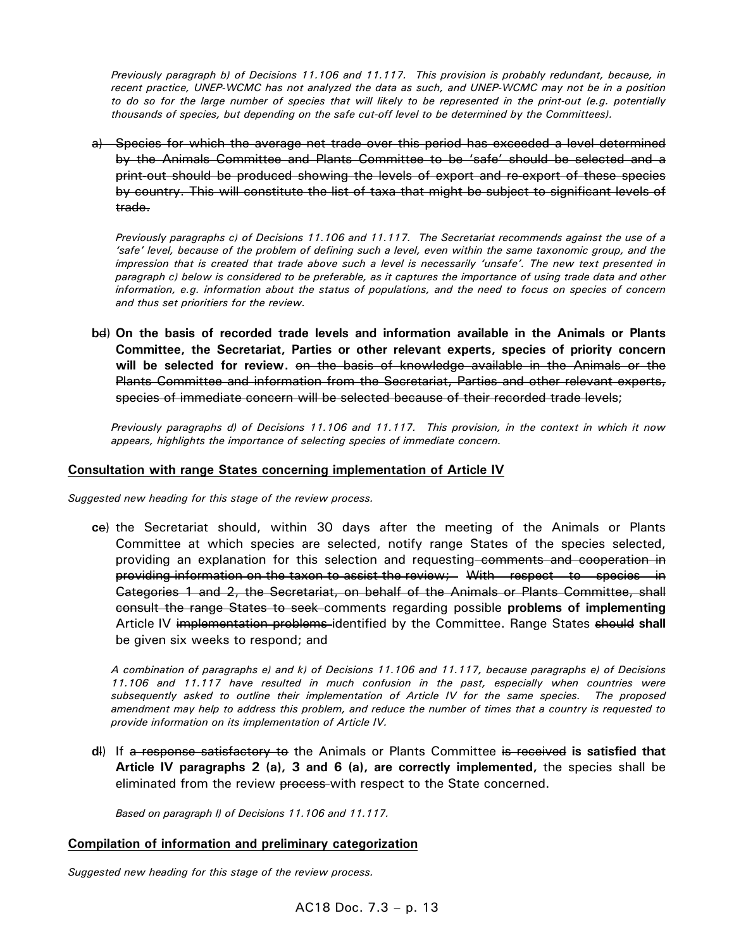*Previously paragraph b) of Decisions 11.106 and 11.117. This provision is probably redundant, because, in recent practice, UNEP-WCMC has not analyzed the data as such, and UNEP-WCMC may not be in a position to do so for the large number of species that will likely to be represented in the print-out (e.g. potentially thousands of species, but depending on the safe cut-off level to be determined by the Committees).* 

 a) Species for which the average net trade over this period has exceeded a level determined by the Animals Committee and Plants Committee to be 'safe' should be selected and a print-out should be produced showing the levels of export and re-export of these species by country. This will constitute the list of taxa that might be subject to significant levels of trade.

 *Previously paragraphs c) of Decisions 11.106 and 11.117. The Secretariat recommends against the use of a 'safe' level, because of the problem of defining such a level, even within the same taxonomic group, and the impression that is created that trade above such a level is necessarily 'unsafe'. The new text presented in*  paragraph c) below is considered to be preferable, as it captures the importance of using trade data and other *information, e.g. information about the status of populations, and the need to focus on species of concern and thus set prioritiers for the review.*

**b**d) **On the basis of recorded trade levels and information available in the Animals or Plants Committee, the Secretariat, Parties or other relevant experts, species of priority concern will be selected for review.** on the basis of knowledge available in the Animals or the Plants Committee and information from the Secretariat, Parties and other relevant experts, species of immediate concern will be selected because of their recorded trade levels;

*Previously paragraphs d) of Decisions 11.106 and 11.117. This provision, in the context in which it now appears, highlights the importance of selecting species of immediate concern.* 

#### **Consultation with range States concerning implementation of Article IV**

*Suggested new heading for this stage of the review process.*

**c**e) the Secretariat should, within 30 days after the meeting of the Animals or Plants Committee at which species are selected, notify range States of the species selected, providing an explanation for this selection and requesting comments and cooperation in providing information on the taxon to assist the review; With respect to species in Categories 1 and 2, the Secretariat, on behalf of the Animals or Plants Committee, shall consult the range States to seek comments regarding possible **problems of implementing**  Article IV implementation problems identified by the Committee. Range States should **shall**  be given six weeks to respond; and

*A combination of paragraphs e) and k) of Decisions 11.106 and 11.117, because paragraphs e) of Decisions 11.106 and 11.117 have resulted in much confusion in the past, especially when countries were subsequently asked to outline their implementation of Article IV for the same species. The proposed amendment may help to address this problem, and reduce the number of times that a country is requested to provide information on its implementation of Article IV.* 

**d**l) If a response satisfactory to the Animals or Plants Committee is received **is satisfied that Article IV paragraphs 2 (a), 3 and 6 (a), are correctly implemented,** the species shall be eliminated from the review process-with respect to the State concerned.

 *Based on paragraph l) of Decisions 11.106 and 11.117.* 

#### **Compilation of information and preliminary categorization**

*Suggested new heading for this stage of the review process.*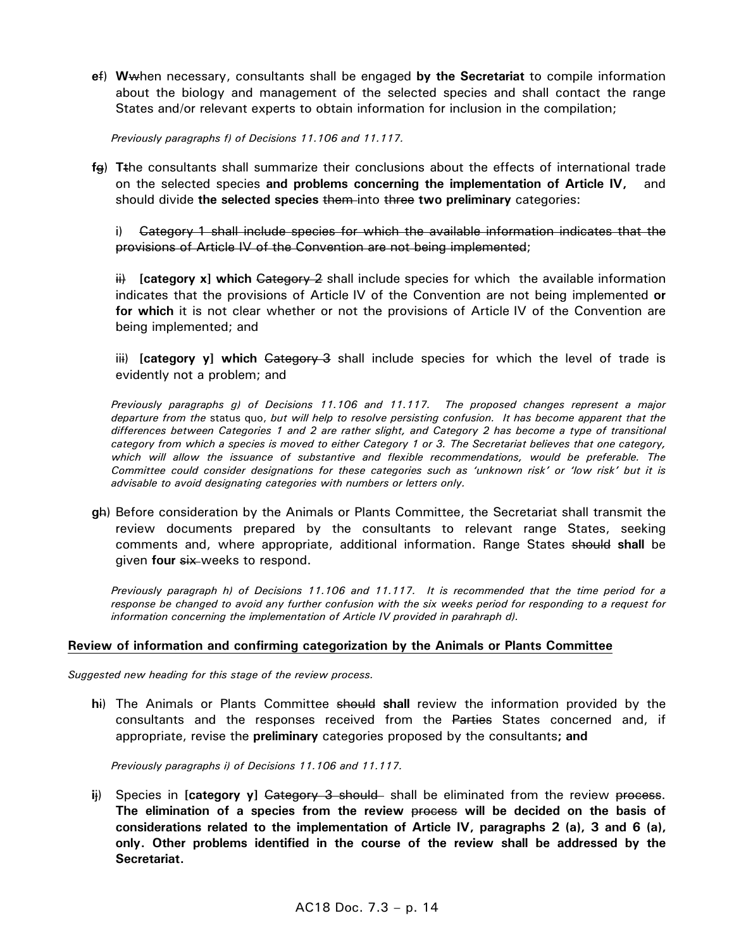**e**f) **W**when necessary, consultants shall be engaged **by the Secretariat** to compile information about the biology and management of the selected species and shall contact the range States and/or relevant experts to obtain information for inclusion in the compilation;

*Previously paragraphs f) of Decisions 11.106 and 11.117.*

**f**g) **T**the consultants shall summarize their conclusions about the effects of international trade on the selected species **and problems concerning the implementation of Article IV,** and should divide **the selected species** them into three **two preliminary** categories:

 i) Category 1 shall include species for which the available information indicates that the provisions of Article IV of the Convention are not being implemented;

 ii) **[category x] which** Category 2 shall include species for which the available information indicates that the provisions of Article IV of the Convention are not being implemented **or for which** it is not clear whether or not the provisions of Article IV of the Convention are being implemented; and

iii) **[category y] which Category 3** shall include species for which the level of trade is evidently not a problem; and

*Previously paragraphs g) of Decisions 11.106 and 11.117. The proposed changes represent a major departure from the* status quo, *but will help to resolve persisting confusion. It has become apparent that the differences between Categories 1 and 2 are rather slight, and Category 2 has become a type of transitional category from which a species is moved to either Category 1 or 3. The Secretariat believes that one category, which will allow the issuance of substantive and flexible recommendations, would be preferable. The Committee could consider designations for these categories such as 'unknown risk' or 'low risk' but it is advisable to avoid designating categories with numbers or letters only.* 

**g**h) Before consideration by the Animals or Plants Committee, the Secretariat shall transmit the review documents prepared by the consultants to relevant range States, seeking comments and, where appropriate, additional information. Range States should **shall** be given **four** six weeks to respond.

*Previously paragraph h) of Decisions 11.106 and 11.117. It is recommended that the time period for a response be changed to avoid any further confusion with the six weeks period for responding to a request for information concerning the implementation of Article IV provided in parahraph d).* 

### **Review of information and confirming categorization by the Animals or Plants Committee**

*Suggested new heading for this stage of the review process.*

 **h**i) The Animals or Plants Committee should **shall** review the information provided by the consultants and the responses received from the Parties States concerned and, if appropriate, revise the **preliminary** categories proposed by the consultants**; and**

*Previously paragraphs i) of Decisions 11.106 and 11.117.* 

**ii**) Species in [category y] Category 3 should shall be eliminated from the review process. **The elimination of a species from the review** process **will be decided on the basis of considerations related to the implementation of Article IV, paragraphs 2 (a), 3 and 6 (a), only. Other problems identified in the course of the review shall be addressed by the Secretariat.**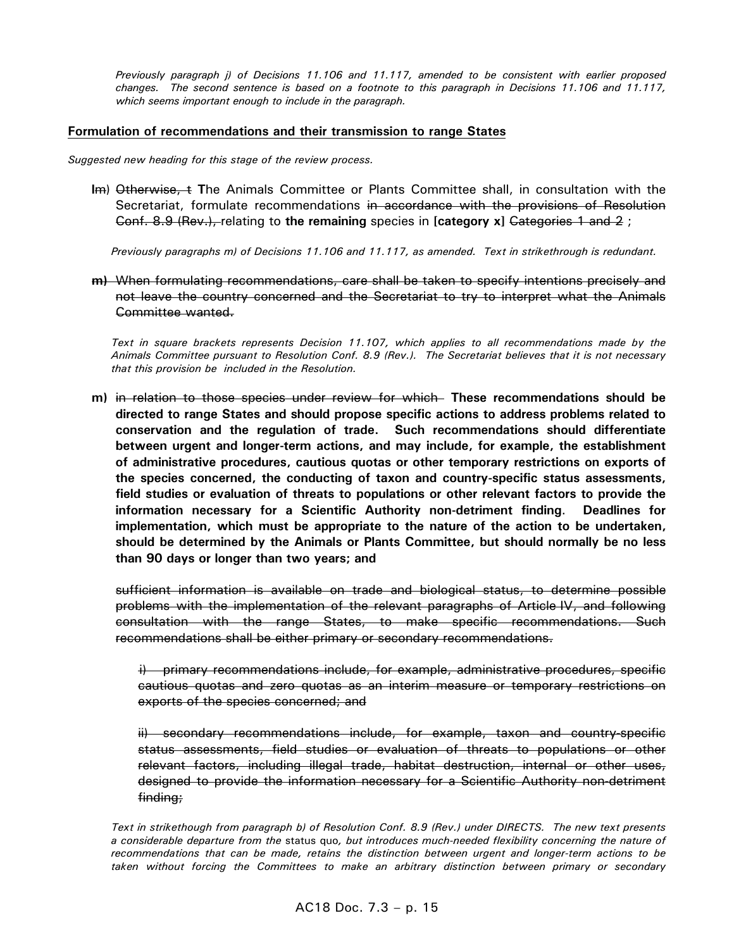*Previously paragraph j) of Decisions 11.106 and 11.117, amended to be consistent with earlier proposed changes. The second sentence is based on a footnote to this paragraph in Decisions 11.106 and 11.117, which seems important enough to include in the paragraph.*

#### **Formulation of recommendations and their transmission to range States**

*Suggested new heading for this stage of the review process.*

 **l**m) Otherwise, t **T**he Animals Committee or Plants Committee shall, in consultation with the Secretariat, formulate recommendations in accordance with the provisions of Resolution Conf. 8.9 (Rev.), relating to **the remaining** species in **[category x]** Categories 1 and 2 ;

*Previously paragraphs m) of Decisions 11.106 and 11.117, as amended. Text in strikethrough is redundant.* 

**m)** When formulating recommendations, care shall be taken to specify intentions precisely and not leave the country concerned and the Secretariat to try to interpret what the Animals Committee wanted.

*Text in square brackets represents Decision 11.107, which applies to all recommendations made by the Animals Committee pursuant to Resolution Conf. 8.9 (Rev.). The Secretariat believes that it is not necessary that this provision be included in the Resolution.* 

**m)** in relation to those species under review for which **These recommendations should be directed to range States and should propose specific actions to address problems related to conservation and the regulation of trade. Such recommendations should differentiate between urgent and longer-term actions, and may include, for example, the establishment of administrative procedures, cautious quotas or other temporary restrictions on exports of the species concerned, the conducting of taxon and country-specific status assessments, field studies or evaluation of threats to populations or other relevant factors to provide the information necessary for a Scientific Authority non-detriment finding**. **Deadlines for implementation, which must be appropriate to the nature of the action to be undertaken, should be determined by the Animals or Plants Committee, but should normally be no less than 90 days or longer than two years; and** 

sufficient information is available on trade and biological status, to determine possible problems with the implementation of the relevant paragraphs of Article IV, and following consultation with the range States, to make specific recommendations. Such recommendations shall be either primary or secondary recommendations.

 i) primary recommendations include, for example, administrative procedures, specific cautious quotas and zero quotas as an interim measure or temporary restrictions on exports of the species concerned; and

 ii) secondary recommendations include, for example, taxon and country-specific status assessments, field studies or evaluation of threats to populations or other relevant factors, including illegal trade, habitat destruction, internal or other uses, designed to provide the information necessary for a Scientific Authority non-detriment finding;

*Text in strikethough from paragraph b) of Resolution Conf. 8.9 (Rev.) under DIRECTS. The new text presents a considerable departure from the* status quo*, but introduces much-needed flexibility concerning the nature of recommendations that can be made, retains the distinction between urgent and longer-term actions to be taken without forcing the Committees to make an arbitrary distinction between primary or secondary*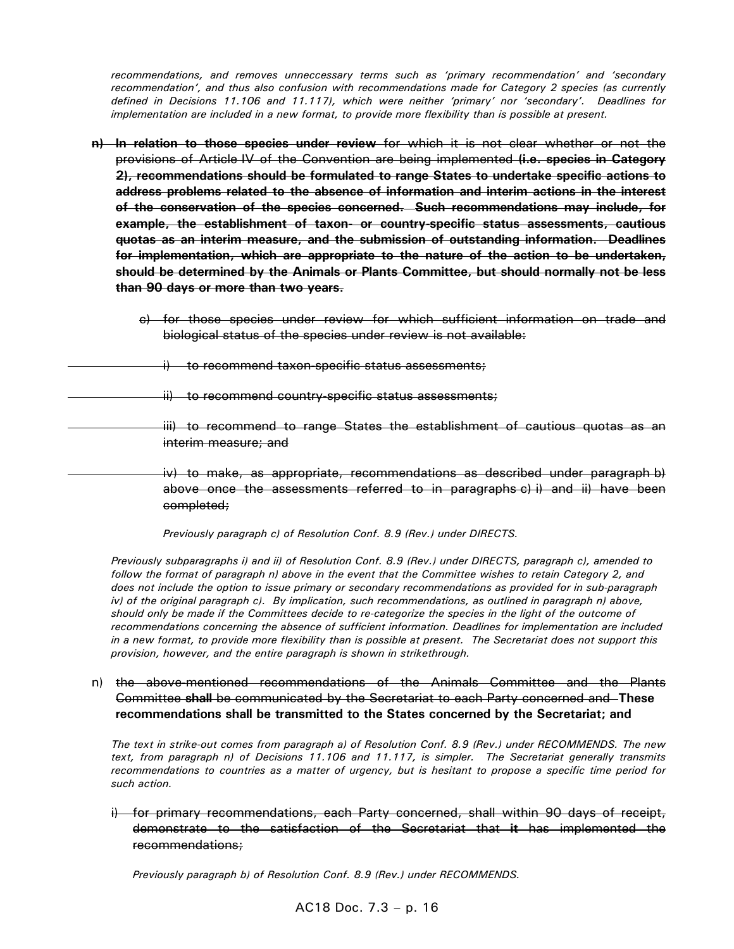*recommendations, and removes unneccessary terms such as 'primary recommendation' and 'secondary recommendation', and thus also confusion with recommendations made for Category 2 species (as currently defined in Decisions 11.106 and 11.117), which were neither 'primary' nor 'secondary'. Deadlines for implementation are included in a new format, to provide more flexibility than is possible at present.* 

- **n) In relation to those species under review** for which it is not clear whether or not the provisions of Article IV of the Convention are being implemented **(i.e. species in Category 2), recommendations should be formulated to range States to undertake specific actions to address problems related to the absence of information and interim actions in the interest of the conservation of the species concerned.****Such recommendations may include, for example, the establishment of taxon- or country-specific status assessments, cautious quotas as an interim measure, and the submission of outstanding information. Deadlines for implementation, which are appropriate to the nature of the action to be undertaken, should be determined by the Animals or Plants Committee, but should normally not be less than 90 days or more than two years.** 
	- c) for those species under review for which sufficient information on trade and biological status of the species under review is not available:
- i) to recommend taxon-specific status assessments;
- ii) to recommend country-specific status assessments;

iii) to recommend to range States the establishment of cautious quotas as an interim measure; and

iv) to make, as appropriate, recommendations as described under paragraph b) above once the assessments referred to in paragraphs c) i) and ii) have been completed;

*Previously paragraph c) of Resolution Conf. 8.9 (Rev.) under DIRECTS.* 

*Previously subparagraphs i) and ii) of Resolution Conf. 8.9 (Rev.) under DIRECTS, paragraph c), amended to follow the format of paragraph n) above in the event that the Committee wishes to retain Category 2, and does not include the option to issue primary or secondary recommendations as provided for in sub-paragraph iv) of the original paragraph c). By implication, such recommendations, as outlined in paragraph n) above, should only be made if the Committees decide to re-categorize the species in the light of the outcome of recommendations concerning the absence of sufficient information. Deadlines for implementation are included in a new format, to provide more flexibility than is possible at present. The Secretariat does not support this provision, however, and the entire paragraph is shown in strikethrough.* 

 n) the above-mentioned recommendations of the Animals Committee and the Plants Committee **shall** be communicated by the Secretariat to each Party concerned and **These recommendations shall be transmitted to the States concerned by the Secretariat; and**

*The text in strike-out comes from paragraph a) of Resolution Conf. 8.9 (Rev.) under RECOMMENDS. The new text, from paragraph n) of Decisions 11.106 and 11.117, is simpler. The Secretariat generally transmits recommendations to countries as a matter of urgency, but is hesitant to propose a specific time period for such action.* 

i) for primary recommendations, each Party concerned, shall within 90 days of receipt, demonstrate to the satisfaction of the Secretariat that **it** has implemented the recommendations;

*Previously paragraph b) of Resolution Conf. 8.9 (Rev.) under RECOMMENDS.*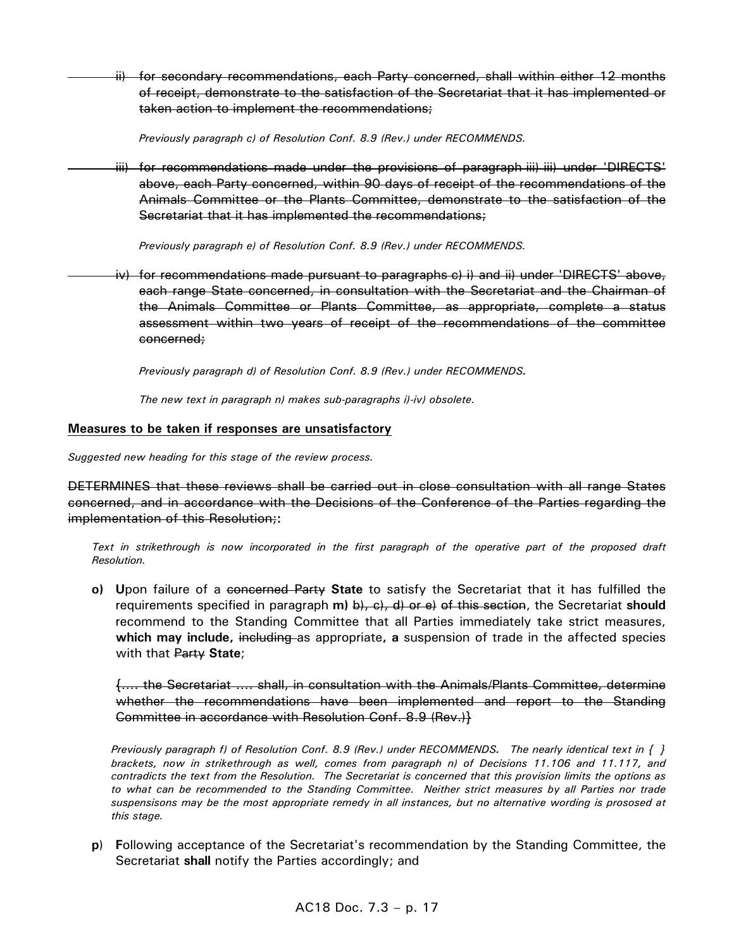ii) for secondary recommendations, each Party concerned, shall within either 12 months of receipt, demonstrate to the satisfaction of the Secretariat that it has implemented or taken action to implement the recommendations;

*Previously paragraph c) of Resolution Conf. 8.9 (Rev.) under RECOMMENDS.* 

iii) for recommendations made under the provisions of paragraph iii) iii) under 'DIRECTS' above, each Party concerned, within 90 days of receipt of the recommendations of the Animals Committee or the Plants Committee, demonstrate to the satisfaction of the Secretariat that it has implemented the recommendations;

*Previously paragraph e) of Resolution Conf. 8.9 (Rev.) under RECOMMENDS.*

iv) for recommendations made pursuant to paragraphs c) i) and ii) under 'DIRECTS' above, each range State concerned, in consultation with the Secretariat and the Chairman of the Animals Committee or Plants Committee, as appropriate, complete a status assessment within two years of receipt of the recommendations of the committee concerned;

*Previously paragraph d) of Resolution Conf. 8.9 (Rev.) under RECOMMENDS.* 

*The new text in paragraph n) makes sub-paragraphs i)-iv) obsolete.* 

### **Measures to be taken if responses are unsatisfactory**

*Suggested new heading for this stage of the review process.*

DETERMINES that these reviews shall be carried out in close consultation with all range States concerned, and in accordance with the Decisions of the Conference of the Parties regarding the implementation of this Resolution;**:**

 *Text in strikethrough is now incorporated in the first paragraph of the operative part of the proposed draft Resolution.* 

 **o) U**pon failure of a concerned Party **State** to satisfy the Secretariat that it has fulfilled the requirements specified in paragraph **m)** b), c), d) or e) of this section, the Secretariat **should**  recommend to the Standing Committee that all Parties immediately take strict measures, **which may include,** including as appropriate**, a** suspension of trade in the affected species with that Party **State**;

 {…. the Secretariat …. shall, in consultation with the Animals/Plants Committee, determine whether the recommendations have been implemented and report to the Standing Committee in accordance with Resolution Conf. 8.9 (Rev.)}

*Previously paragraph f) of Resolution Conf. 8.9 (Rev.) under RECOMMENDS. The nearly identical text in { } brackets, now in strikethrough as well, comes from paragraph n) of Decisions 11.106 and 11.117, and contradicts the text from the Resolution. The Secretariat is concerned that this provision limits the options as to what can be recommended to the Standing Committee. Neither strict measures by all Parties nor trade suspensisons may be the most appropriate remedy in all instances, but no alternative wording is prososed at this stage.*

**p**) **F**ollowing acceptance of the Secretariat's recommendation by the Standing Committee, the Secretariat **shall** notify the Parties accordingly; and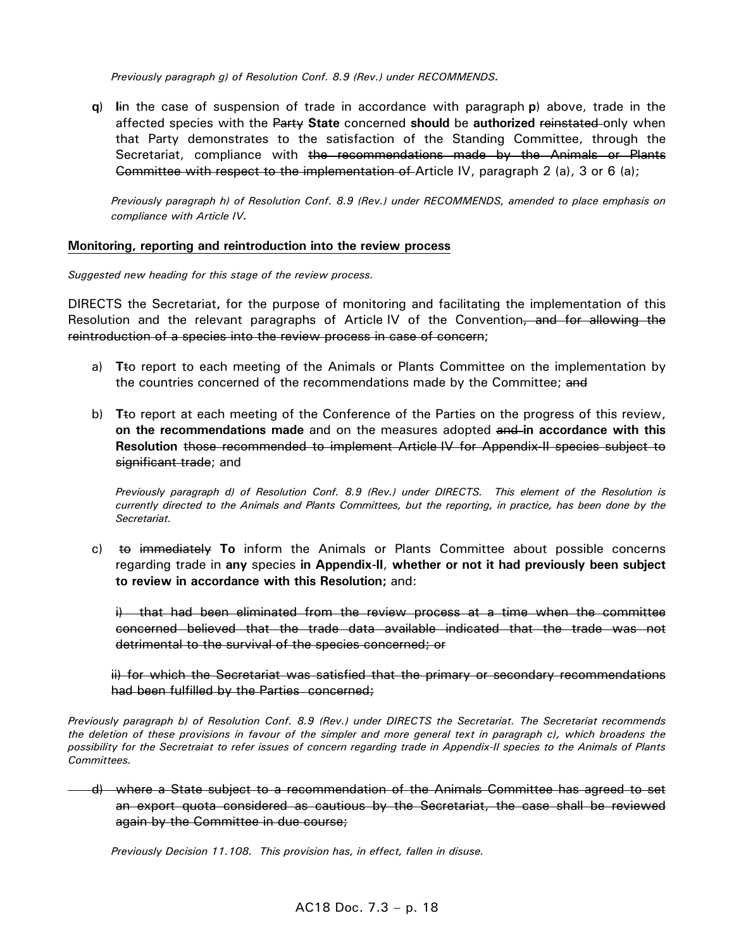*Previously paragraph g) of Resolution Conf. 8.9 (Rev.) under RECOMMENDS.* 

**q**) **I**in the case of suspension of trade in accordance with paragraph **p**) above, trade in the affected species with the Party **State** concerned **should** be **authorized** reinstated only when that Party demonstrates to the satisfaction of the Standing Committee, through the Secretariat, compliance with the recommendations made by the Animals or Plants Committee with respect to the implementation of Article IV, paragraph 2 (a), 3 or 6 (a);

*Previously paragraph h) of Resolution Conf. 8.9 (Rev.) under RECOMMENDS, amended to place emphasis on compliance with Article IV.* 

#### **Monitoring, reporting and reintroduction into the review process**

*Suggested new heading for this stage of the review process.*

DIRECTS the Secretariat**,** for the purpose of monitoring and facilitating the implementation of this Resolution and the relevant paragraphs of Article IV of the Convention, and for allowing the reintroduction of a species into the review process in case of concern;

- a) **T**to report to each meeting of the Animals or Plants Committee on the implementation by the countries concerned of the recommendations made by the Committee; and
- b) **T**to report at each meeting of the Conference of the Parties on the progress of this review, **on the recommendations made** and on the measures adopted and **in accordance with this Resolution** those recommended to implement Article IV for Appendix-II species subject to significant trade; and

 *Previously paragraph d) of Resolution Conf. 8.9 (Rev.) under DIRECTS. This element of the Resolution is currently directed to the Animals and Plants Committees, but the reporting, in practice, has been done by the Secretariat.*

c) to immediately **To** inform the Animals or Plants Committee about possible concerns regarding trade in **any** species **in Appendix-II**, **whether or not it had previously been subject to review in accordance with this Resolution;** and:

 i) that had been eliminated from the review process at a time when the committee concerned believed that the trade data available indicated that the trade was not detrimental to the survival of the species concerned; or

 ii) for which the Secretariat was satisfied that the primary or secondary recommendations had been fulfilled by the Parties concerned;

*Previously paragraph b) of Resolution Conf. 8.9 (Rev.) under DIRECTS the Secretariat. The Secretariat recommends the deletion of these provisions in favour of the simpler and more general text in paragraph c), which broadens the possibility for the Secretraiat to refer issues of concern regarding trade in Appendix-II species to the Animals of Plants Committees.* 

d) where a State subject to a recommendation of the Animals Committee has agreed to set an export quota considered as cautious by the Secretariat, the case shall be reviewed again by the Committee in due course;

*Previously Decision 11.108. This provision has, in effect, fallen in disuse.*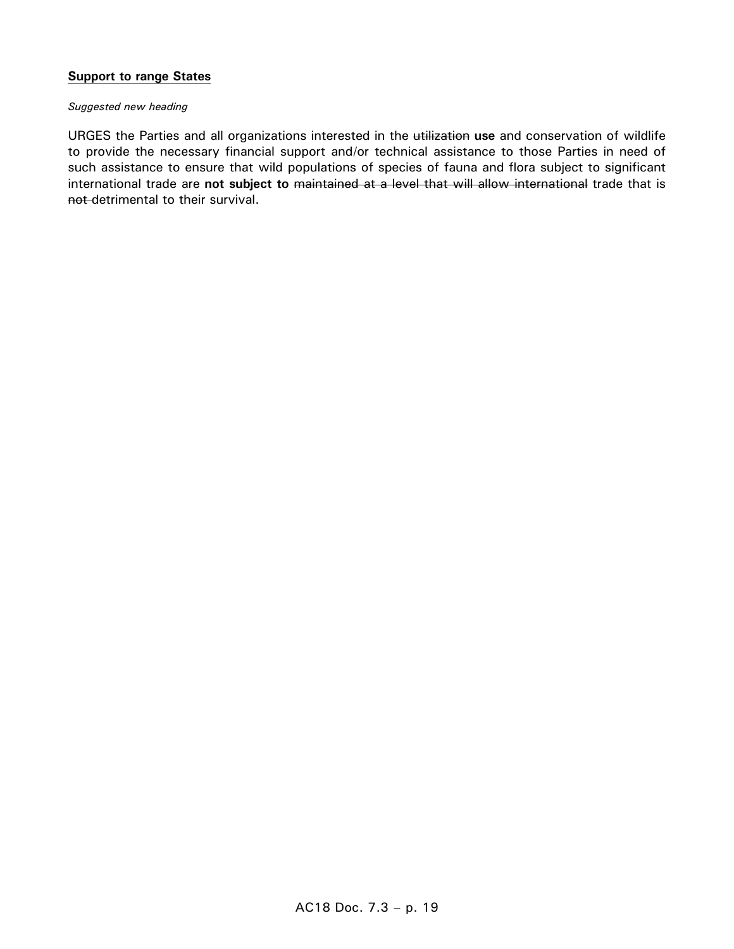## **Support to range States**

#### *Suggested new heading*

URGES the Parties and all organizations interested in the utilization **use** and conservation of wildlife to provide the necessary financial support and/or technical assistance to those Parties in need of such assistance to ensure that wild populations of species of fauna and flora subject to significant international trade are **not subject to** maintained at a level that will allow international trade that is not detrimental to their survival.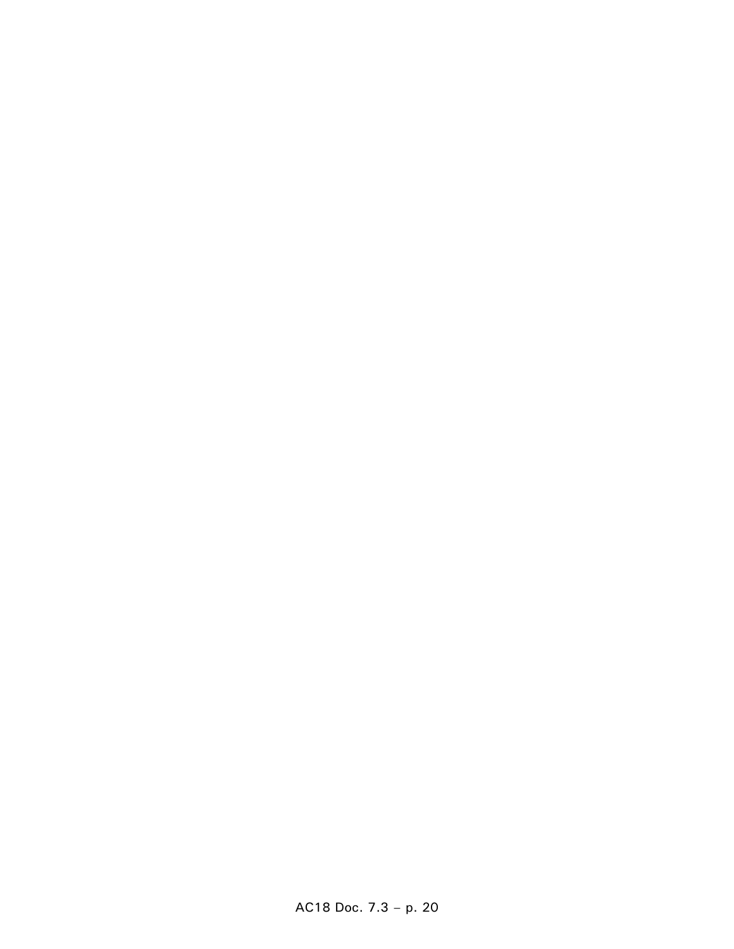AC18 Doc. 7.3 – p. 20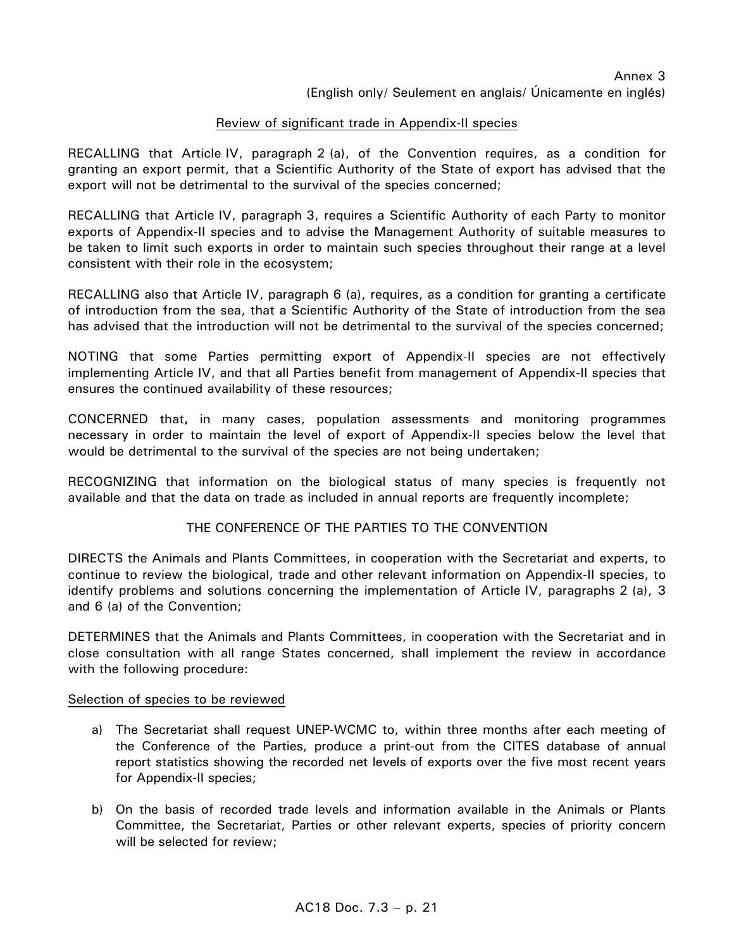### Review of significant trade in Appendix-II species

RECALLING that Article IV, paragraph 2 (a), of the Convention requires, as a condition for granting an export permit, that a Scientific Authority of the State of export has advised that the export will not be detrimental to the survival of the species concerned;

RECALLING that Article IV, paragraph 3, requires a Scientific Authority of each Party to monitor exports of Appendix-II species and to advise the Management Authority of suitable measures to be taken to limit such exports in order to maintain such species throughout their range at a level consistent with their role in the ecosystem;

RECALLING also that Article IV, paragraph 6 (a), requires, as a condition for granting a certificate of introduction from the sea, that a Scientific Authority of the State of introduction from the sea has advised that the introduction will not be detrimental to the survival of the species concerned;

NOTING that some Parties permitting export of Appendix-II species are not effectively implementing Article IV, and that all Parties benefit from management of Appendix-II species that ensures the continued availability of these resources;

CONCERNED that**,** in many cases, population assessments and monitoring programmes necessary in order to maintain the level of export of Appendix-II species below the level that would be detrimental to the survival of the species are not being undertaken;

RECOGNIZING that information on the biological status of many species is frequently not available and that the data on trade as included in annual reports are frequently incomplete;

# THE CONFERENCE OF THE PARTIES TO THE CONVENTION

DIRECTS the Animals and Plants Committees, in cooperation with the Secretariat and experts, to continue to review the biological, trade and other relevant information on Appendix-II species, to identify problems and solutions concerning the implementation of Article IV, paragraphs 2 (a), 3 and 6 (a) of the Convention;

DETERMINES that the Animals and Plants Committees, in cooperation with the Secretariat and in close consultation with all range States concerned, shall implement the review in accordance with the following procedure:

### Selection of species to be reviewed

- a) The Secretariat shall request UNEP-WCMC to, within three months after each meeting of the Conference of the Parties, produce a print-out from the CITES database of annual report statistics showing the recorded net levels of exports over the five most recent years for Appendix-II species;
- b) On the basis of recorded trade levels and information available in the Animals or Plants Committee, the Secretariat, Parties or other relevant experts, species of priority concern will be selected for review;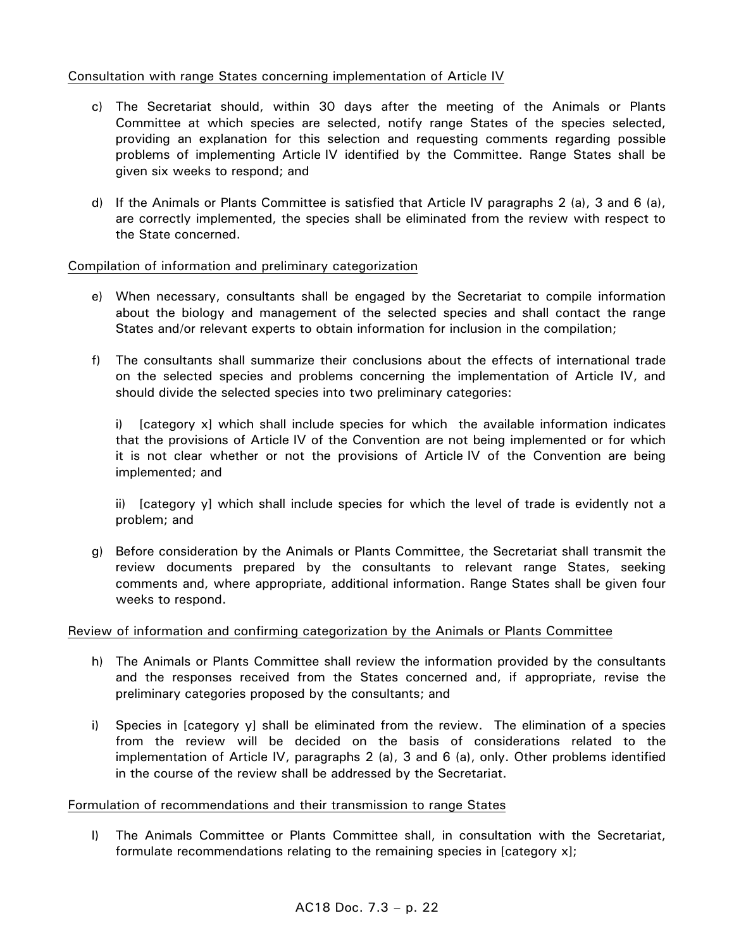# Consultation with range States concerning implementation of Article IV

- c) The Secretariat should, within 30 days after the meeting of the Animals or Plants Committee at which species are selected, notify range States of the species selected, providing an explanation for this selection and requesting comments regarding possible problems of implementing Article IV identified by the Committee. Range States shall be given six weeks to respond; and
- d) If the Animals or Plants Committee is satisfied that Article IV paragraphs 2 (a), 3 and 6 (a), are correctly implemented, the species shall be eliminated from the review with respect to the State concerned.

### Compilation of information and preliminary categorization

- e) When necessary, consultants shall be engaged by the Secretariat to compile information about the biology and management of the selected species and shall contact the range States and/or relevant experts to obtain information for inclusion in the compilation;
- f) The consultants shall summarize their conclusions about the effects of international trade on the selected species and problems concerning the implementation of Article IV, and should divide the selected species into two preliminary categories:

 i) [category x] which shall include species for which the available information indicates that the provisions of Article IV of the Convention are not being implemented or for which it is not clear whether or not the provisions of Article IV of the Convention are being implemented; and

 ii) [category y] which shall include species for which the level of trade is evidently not a problem; and

 g) Before consideration by the Animals or Plants Committee, the Secretariat shall transmit the review documents prepared by the consultants to relevant range States, seeking comments and, where appropriate, additional information. Range States shall be given four weeks to respond.

### Review of information and confirming categorization by the Animals or Plants Committee

- h) The Animals or Plants Committee shall review the information provided by the consultants and the responses received from the States concerned and, if appropriate, revise the preliminary categories proposed by the consultants; and
- i) Species in [category y] shall be eliminated from the review. The elimination of a species from the review will be decided on the basis of considerations related to the implementation of Article IV, paragraphs 2 (a), 3 and 6 (a), only. Other problems identified in the course of the review shall be addressed by the Secretariat.

### Formulation of recommendations and their transmission to range States

l) The Animals Committee or Plants Committee shall, in consultation with the Secretariat, formulate recommendations relating to the remaining species in [category x];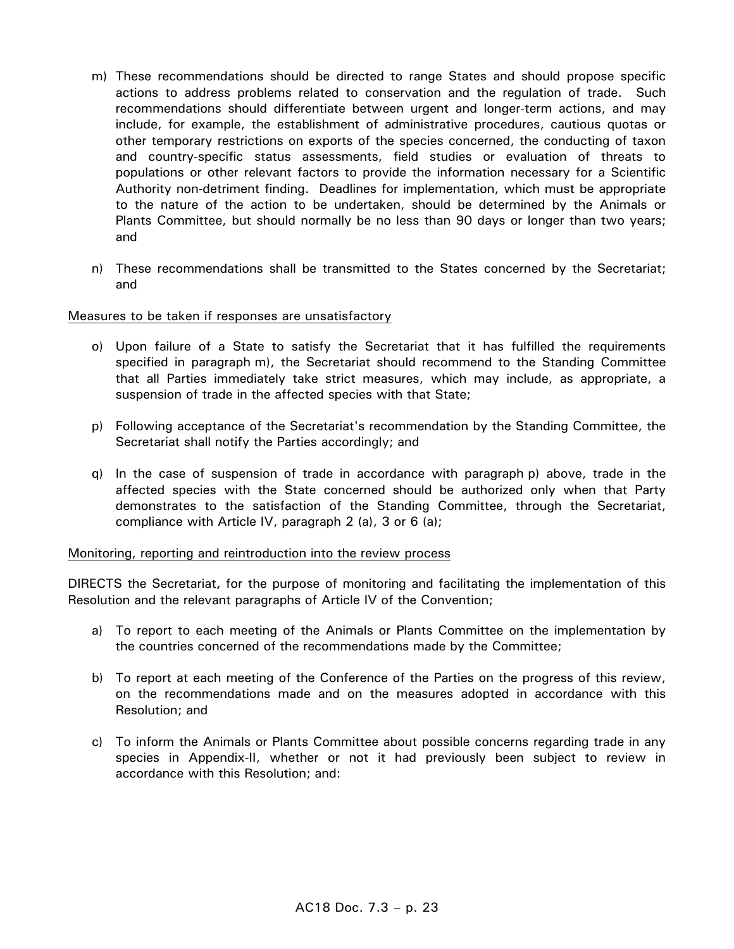- m) These recommendations should be directed to range States and should propose specific actions to address problems related to conservation and the regulation of trade. Such recommendations should differentiate between urgent and longer-term actions, and may include, for example, the establishment of administrative procedures, cautious quotas or other temporary restrictions on exports of the species concerned, the conducting of taxon and country-specific status assessments, field studies or evaluation of threats to populations or other relevant factors to provide the information necessary for a Scientific Authority non-detriment finding. Deadlines for implementation, which must be appropriate to the nature of the action to be undertaken, should be determined by the Animals or Plants Committee, but should normally be no less than 90 days or longer than two years; and
- n) These recommendations shall be transmitted to the States concerned by the Secretariat; and

### Measures to be taken if responses are unsatisfactory

- o) Upon failure of a State to satisfy the Secretariat that it has fulfilled the requirements specified in paragraph m), the Secretariat should recommend to the Standing Committee that all Parties immediately take strict measures, which may include, as appropriate, a suspension of trade in the affected species with that State;
- p) Following acceptance of the Secretariat's recommendation by the Standing Committee, the Secretariat shall notify the Parties accordingly; and
- q) In the case of suspension of trade in accordance with paragraph p) above, trade in the affected species with the State concerned should be authorized only when that Party demonstrates to the satisfaction of the Standing Committee, through the Secretariat, compliance with Article IV, paragraph 2 (a), 3 or 6 (a);

### Monitoring, reporting and reintroduction into the review process

DIRECTS the Secretariat**,** for the purpose of monitoring and facilitating the implementation of this Resolution and the relevant paragraphs of Article IV of the Convention;

- a) To report to each meeting of the Animals or Plants Committee on the implementation by the countries concerned of the recommendations made by the Committee;
- b) To report at each meeting of the Conference of the Parties on the progress of this review, on the recommendations made and on the measures adopted in accordance with this Resolution; and
- c) To inform the Animals or Plants Committee about possible concerns regarding trade in any species in Appendix-II, whether or not it had previously been subject to review in accordance with this Resolution; and: